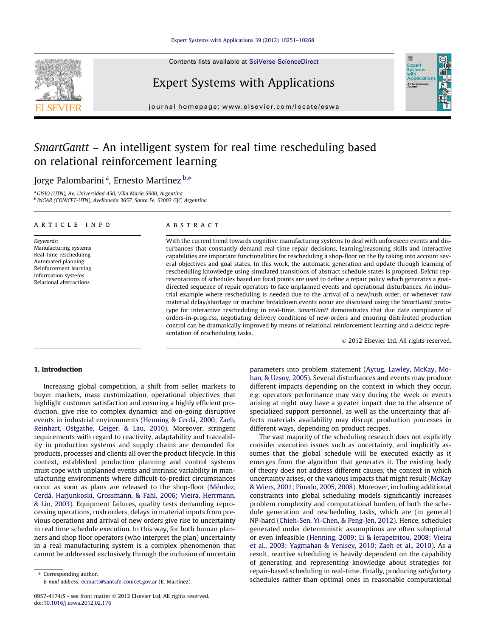#### [Expert Systems with Applications 39 \(2012\) 10251–10268](http://dx.doi.org/10.1016/j.eswa.2012.02.176)

Contents lists available at [SciVerse ScienceDirect](http://www.sciencedirect.com/science/journal/09574174)

## Expert Systems with Applications

journal homepage: [www.elsevier.com/locate/eswa](http://www.elsevier.com/locate/eswa)

# SmartGantt – An intelligent system for real time rescheduling based on relational reinforcement learning

### Jorge Palombarini <sup>a</sup>, Ernesto Martínez <sup>b,</sup>\*

<sup>a</sup> GISIQ (UTN), Av. Universidad 450, Villa María 5900, Argentina <sup>b</sup> INGAR (CONICET-UTN), Avellaneda 3657, Santa Fe, S3002 GJC, Argentina

#### article info

Keywords: Manufacturing systems Real-time rescheduling Automated planning Reinforcement learning Information systems Relational abstractions

#### ABSTRACT

With the current trend towards cognitive manufacturing systems to deal with unforeseen events and disturbances that constantly demand real-time repair decisions, learning/reasoning skills and interactive capabilities are important functionalities for rescheduling a shop-floor on the fly taking into account several objectives and goal states. In this work, the automatic generation and update through learning of rescheduling knowledge using simulated transitions of abstract schedule states is proposed. Deictic representations of schedules based on focal points are used to define a repair policy which generates a goaldirected sequence of repair operators to face unplanned events and operational disturbances. An industrial example where rescheduling is needed due to the arrival of a new/rush order, or whenever raw material delay/shortage or machine breakdown events occur are discussed using the SmartGantt prototype for interactive rescheduling in real-time. SmartGantt demonstrates that due date compliance of orders-in-progress, negotiating delivery conditions of new orders and ensuring distributed production control can be dramatically improved by means of relational reinforcement learning and a deictic representation of rescheduling tasks.

- 2012 Elsevier Ltd. All rights reserved.

#### 1. Introduction

Increasing global competition, a shift from seller markets to buyer markets, mass customization, operational objectives that highlight customer satisfaction and ensuring a highly efficient production, give rise to complex dynamics and on-going disruptive events in industrial environments ([Henning & Cerdá, 2000; Zaeh,](#page--1-0) [Reinhart, Ostgathe, Geiger, & Lau, 2010](#page--1-0)). Moreover, stringent requirements with regard to reactivity, adaptability and traceability in production systems and supply chains are demanded for products, processes and clients all over the product lifecycle. In this context, established production planning and control systems must cope with unplanned events and intrinsic variability in manufacturing environments where difficult-to-predict circumstances occur as soon as plans are released to the shop-floor ([Méndez,](#page--1-0) [Cerdá, Harjunkoski, Grossmann, & Fahl, 2006; Vieira, Herrmann,](#page--1-0) [& Lin, 2003](#page--1-0)). Equipment failures, quality tests demanding reprocessing operations, rush orders, delays in material inputs from previous operations and arrival of new orders give rise to uncertainty in real time schedule execution. In this way, for both human planners and shop floor operators (who interpret the plan) uncertainty in a real manufacturing system is a complex phenomenon that cannot be addressed exclusively through the inclusion of uncertain

⇑ Corresponding author. E-mail address: [ecmarti@santafe-conicet.gov.ar](mailto:ecmarti@santafe-conicet.gov.ar) (E. Martínez). parameters into problem statement [\(Aytug, Lawley, McKay, Mo](#page--1-0)[han, & Uzsoy, 2005](#page--1-0)). Several disturbances and events may produce different impacts depending on the context in which they occur, e.g. operators performance may vary during the week or events arising at night may have a greater impact due to the absence of specialized support personnel, as well as the uncertainty that affects materials availability may disrupt production processes in different ways, depending on product recipes.

The vast majority of the scheduling research does not explicitly consider execution issues such as uncertainty, and implicitly assumes that the global schedule will be executed exactly as it emerges from the algorithm that generates it. The existing body of theory does not address different causes, the context in which uncertainty arises, or the various impacts that might result ([McKay](#page--1-0) [& Wiers, 2001; Pinedo, 2005, 2008\)](#page--1-0). Moreover, including additional constraints into global scheduling models significantly increases problem complexity and computational burden, of both the schedule generation and rescheduling tasks, which are (in general) NP-hard [\(Chieh-Sen, Yi-Chen, & Peng-Jen, 2012](#page--1-0)). Hence, schedules generated under deterministic assumptions are often suboptimal or even infeasible ([Henning, 2009; Li & Ierapetritou, 2008; Vieira](#page--1-0) [et al., 2003; Yagmahan & Yenisey, 2010; Zaeh et al., 2010\)](#page--1-0). As a result, reactive scheduling is heavily dependent on the capability of generating and representing knowledge about strategies for repair-based scheduling in real-time. Finally, producing satisfactory schedules rather than optimal ones in reasonable computational





<sup>0957-4174/\$ -</sup> see front matter © 2012 Elsevier Ltd. All rights reserved. doi[:10.1016/j.eswa.2012.02.176](http://dx.doi.org/10.1016/j.eswa.2012.02.176)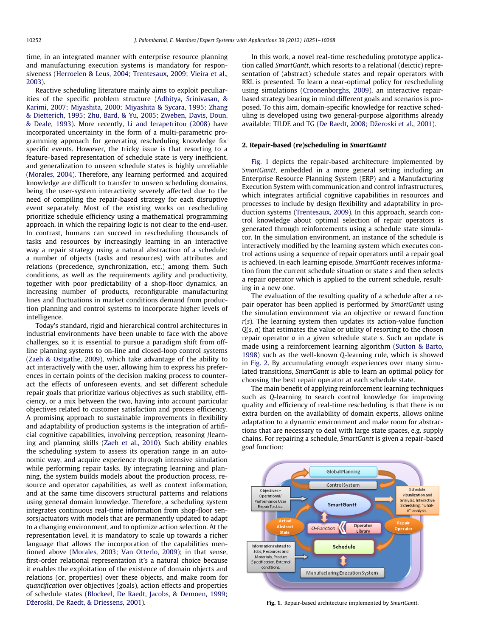time, in an integrated manner with enterprise resource planning and manufacturing execution systems is mandatory for responsiveness [\(Herroelen & Leus, 2004; Trentesaux, 2009; Vieira et al.,](#page--1-0) [2003\)](#page--1-0).

Reactive scheduling literature mainly aims to exploit peculiarities of the specific problem structure ([Adhitya, Srinivasan, &](#page--1-0) [Karimi, 2007; Miyashita, 2000; Miyashita & Sycara, 1995; Zhang](#page--1-0) [& Dietterich, 1995; Zhu, Bard, & Yu, 2005; Zweben, Davis, Doun,](#page--1-0) [& Deale, 1993\)](#page--1-0). More recently, [Li and Ierapetritou \(2008\)](#page--1-0) have incorporated uncertainty in the form of a multi-parametric programming approach for generating rescheduling knowledge for specific events. However, the tricky issue is that resorting to a feature-based representation of schedule state is very inefficient, and generalization to unseen schedule states is highly unreliable ([Morales, 2004\)](#page--1-0). Therefore, any learning performed and acquired knowledge are difficult to transfer to unseen scheduling domains, being the user-system interactivity severely affected due to the need of compiling the repair-based strategy for each disruptive event separately. Most of the existing works on rescheduling prioritize schedule efficiency using a mathematical programming approach, in which the repairing logic is not clear to the end-user. In contrast, humans can succeed in rescheduling thousands of tasks and resources by increasingly learning in an interactive way a repair strategy using a natural abstraction of a schedule: a number of objects (tasks and resources) with attributes and relations (precedence, synchronization, etc.) among them. Such conditions, as well as the requirements agility and productivity, together with poor predictability of a shop-floor dynamics, an increasing number of products, reconfigurable manufacturing lines and fluctuations in market conditions demand from production planning and control systems to incorporate higher levels of intelligence.

Today's standard, rigid and hierarchical control architectures in industrial environments have been unable to face with the above challenges, so it is essential to pursue a paradigm shift from offline planning systems to on-line and closed-loop control systems ([Zaeh & Ostgathe, 2009\)](#page--1-0), which take advantage of the ability to act interactively with the user, allowing him to express his preferences in certain points of the decision making process to counteract the effects of unforeseen events, and set different schedule repair goals that prioritize various objectives as such stability, efficiency, or a mix between the two, having into account particular objectives related to customer satisfaction and process efficiency. A promising approach to sustainable improvements in flexibility and adaptability of production systems is the integration of artificial cognitive capabilities, involving perception, reasoning /learning and planning skills ([Zaeh et al., 2010](#page--1-0)). Such ability enables the scheduling system to assess its operation range in an autonomic way, and acquire experience through intensive simulation while performing repair tasks. By integrating learning and planning, the system builds models about the production process, resource and operator capabilities, as well as context information, and at the same time discovers structural patterns and relations using general domain knowledge. Therefore, a scheduling system integrates continuous real-time information from shop-floor sensors/actuators with models that are permanently updated to adapt to a changing environment, and to optimize action selection. At the representation level, it is mandatory to scale up towards a richer language that allows the incorporation of the capabilities mentioned above ([Morales, 2003; Van Otterlo, 2009](#page--1-0)); in that sense, first-order relational representation it's a natural choice because it enables the exploitation of the existence of domain objects and relations (or, properties) over these objects, and make room for quantification over objectives (goals), action effects and properties of schedule states [\(Blockeel, De Raedt, Jacobs, & Demoen, 1999;](#page--1-0) Džeroski, De Raedt, & Driessens, 2001).

In this work, a novel real-time rescheduling prototype application called SmartGantt, which resorts to a relational (deictic) representation of (abstract) schedule states and repair operators with RRL is presented. To learn a near-optimal policy for rescheduling using simulations ([Croonenborghs, 2009\)](#page--1-0), an interactive repairbased strategy bearing in mind different goals and scenarios is proposed. To this aim, domain-specific knowledge for reactive scheduling is developed using two general-purpose algorithms already available: TILDE and TG (De Raedt, 2008; Džeroski et al., 2001).

#### 2. Repair-based (re)scheduling in SmartGantt

Fig. 1 depicts the repair-based architecture implemented by SmartGantt, embedded in a more general setting including an Enterprise Resource Planning System (ERP) and a Manufacturing Execution System with communication and control infrastructures, which integrates artificial cognitive capabilities in resources and processes to include by design flexibility and adaptability in production systems [\(Trentesaux, 2009\)](#page--1-0). In this approach, search control knowledge about optimal selection of repair operators is generated through reinforcements using a schedule state simulator. In the simulation environment, an instance of the schedule is interactively modified by the learning system which executes control actions using a sequence of repair operators until a repair goal is achieved. In each learning episode, SmartGantt receives information from the current schedule situation or state s and then selects a repair operator which is applied to the current schedule, resulting in a new one.

The evaluation of the resulting quality of a schedule after a repair operator has been applied is performed by SmartGantt using the simulation environment via an objective or reward function  $r(s)$ . The learning system then updates its action-value function  $Q(s, a)$  that estimates the value or utility of resorting to the chosen repair operator  $a$  in a given schedule state  $s$ . Such an update is made using a reinforcement learning algorithm [\(Sutton & Barto,](#page--1-0) [1998\)](#page--1-0) such as the well-known Q-learning rule, which is showed in [Fig. 2.](#page--1-0) By accumulating enough experiences over many simulated transitions, SmartGantt is able to learn an optimal policy for choosing the best repair operator at each schedule state.

The main benefit of applying reinforcement learning techniques such as Q-learning to search control knowledge for improving quality and efficiency of real-time rescheduling is that there is no extra burden on the availability of domain experts, allows online adaptation to a dynamic environment and make room for abstractions that are necessary to deal with large state spaces, e.g. supply chains. For repairing a schedule, SmartGantt is given a repair-based goal function:



Fig. 1. Repair-based architecture implemented by SmartGantt.